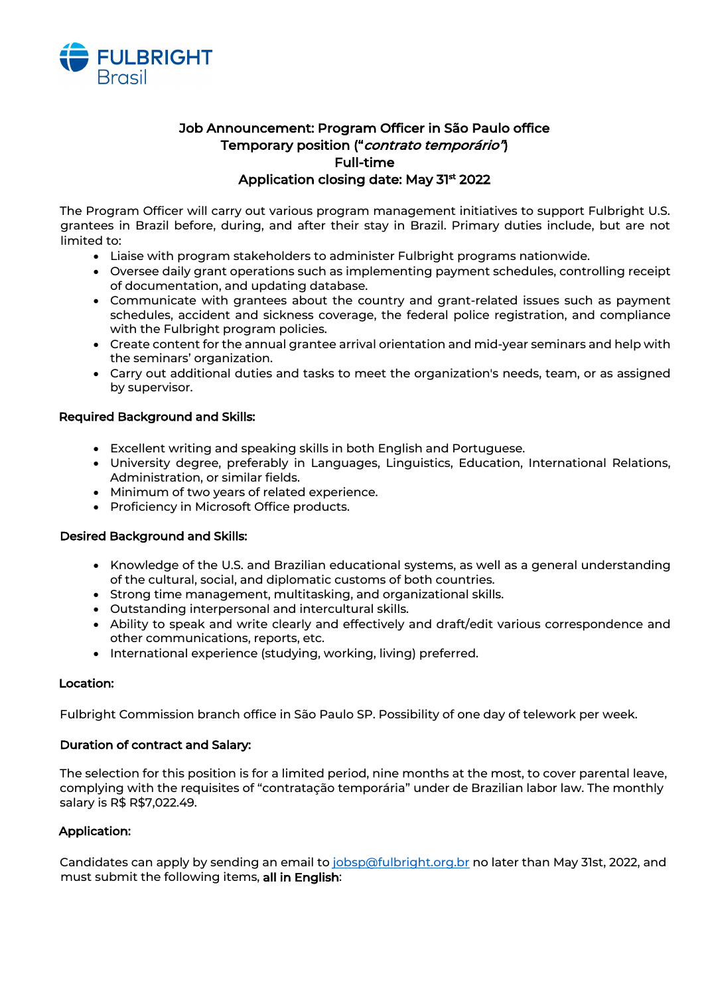

# Job Announcement: Program Officer in São Paulo office Temporary position ("contrato temporário") Full-time Application closing date: May 31st 2022

The Program Officer will carry out various program management initiatives to support Fulbright U.S. grantees in Brazil before, during, and after their stay in Brazil. Primary duties include, but are not limited to:

- Liaise with program stakeholders to administer Fulbright programs nationwide.
- Oversee daily grant operations such as implementing payment schedules, controlling receipt of documentation, and updating database.
- Communicate with grantees about the country and grant-related issues such as payment schedules, accident and sickness coverage, the federal police registration, and compliance with the Fulbright program policies.
- Create content for the annual grantee arrival orientation and mid-year seminars and help with the seminars' organization.
- Carry out additional duties and tasks to meet the organization's needs, team, or as assigned by supervisor.

## Required Background and Skills:

- Excellent writing and speaking skills in both English and Portuguese.
- University degree, preferably in Languages, Linguistics, Education, International Relations, Administration, or similar fields.
- Minimum of two years of related experience.
- Proficiency in Microsoft Office products.

### Desired Background and Skills:

- Knowledge of the U.S. and Brazilian educational systems, as well as a general understanding of the cultural, social, and diplomatic customs of both countries.
- Strong time management, multitasking, and organizational skills.
- Outstanding interpersonal and intercultural skills.
- Ability to speak and write clearly and effectively and draft/edit various correspondence and other communications, reports, etc.
- International experience (studying, working, living) preferred.

### Location:

Fulbright Commission branch office in São Paulo SP. Possibility of one day of telework per week.

### Duration of contract and Salary:

The selection for this position is for a limited period, nine months at the most, to cover parental leave, complying with the requisites of "contratação temporária" under de Brazilian labor law. The monthly salary is R\$ R\$7,022.49.

### Application:

Candidates can apply by sending an email to jobsp@fulbright.org.br no later than May 31st, 2022, and must submit the following items, all in English: